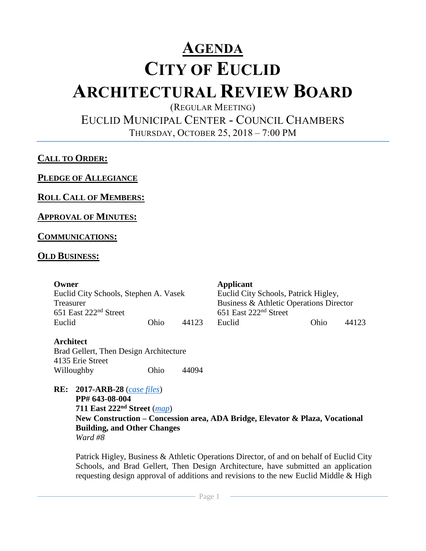# **AGENDA CITY OF EUCLID ARCHITECTURAL REVIEW BOARD**

(REGULAR MEETING)

EUCLID MUNICIPAL CENTER - COUNCIL CHAMBERS

THURSDAY, OCTOBER 25, 2018 – 7:00 PM

# **CALL TO ORDER:**

**PLEDGE OF ALLEGIANCE**

**ROLL CALL OF MEMBERS:**

### **APPROVAL OF MINUTES:**

### **COMMUNICATIONS:**

### **OLD BUSINESS:**

| Owner                                 |      |       | Applicant                               |      |       |
|---------------------------------------|------|-------|-----------------------------------------|------|-------|
| Euclid City Schools, Stephen A. Vasek |      |       | Euclid City Schools, Patrick Higley,    |      |       |
| Treasurer                             |      |       | Business & Athletic Operations Director |      |       |
| 651 East 222 <sup>nd</sup> Street     |      |       | 651 East 222 <sup>nd</sup> Street       |      |       |
| Euclid                                | Ohio | 44123 | Euclid                                  | Ohio | 44123 |

#### **Architect**

Brad Gellert, Then Design Architecture 4135 Erie Street Willoughby Ohio 44094

**RE: 2017-ARB-28** (*[case files](https://thendesign-my.sharepoint.com/:f:/p/zpavlovic/EpLlpCVa7XlGqc643vT9E9oBMFLs9jsdZxbmsDgXNe1r6A?e=I1Ua9r)*) **PP# 643-08-004 711 East 222nd Street** (*[map](https://goo.gl/uCUzNA)*) **New Construction – Concession area, ADA Bridge, Elevator & Plaza, Vocational Building, and Other Changes** *Ward #8*

Patrick Higley, Business & Athletic Operations Director, of and on behalf of Euclid City Schools, and Brad Gellert, Then Design Architecture, have submitted an application requesting design approval of additions and revisions to the new Euclid Middle & High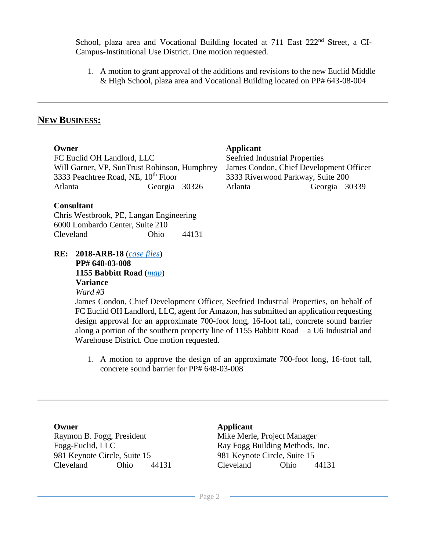School, plaza area and Vocational Building located at 711 East 222<sup>nd</sup> Street, a CI-Campus-Institutional Use District. One motion requested.

1. A motion to grant approval of the additions and revisions to the new Euclid Middle & High School, plaza area and Vocational Building located on PP# 643-08-004

### **NEW BUSINESS:**

| Applicant                                    |                                         |  |  |
|----------------------------------------------|-----------------------------------------|--|--|
| Seefried Industrial Properties               |                                         |  |  |
| Will Garner, VP, SunTrust Robinson, Humphrey | James Condon, Chief Development Officer |  |  |
|                                              | 3333 Riverwood Parkway, Suite 200       |  |  |
| Georgia 30339<br>Georgia 30326<br>Atlanta    |                                         |  |  |
|                                              |                                         |  |  |
| Chris Wostbrook DE Langen Engineering        |                                         |  |  |

| Chris Westbrook, PE, Langan Engineering |      |       |
|-----------------------------------------|------|-------|
| 6000 Lombardo Center, Suite 210         |      |       |
| Cleveland                               | Ohio | 44131 |

**RE: 2018-ARB-18** (*[case files](http://www.cityofeuclid.com/uploads/ARB_Projects/Bark/Amazon_Euclid_Sound_Wall_Submission_Doc_01_10.1.18.pdf)*) **PP# 648-03-008 1155 Babbitt Road** (*[map](https://goo.gl/maps/w3mcXGSg5R62)*) **Variance**

*Ward #3*

James Condon, Chief Development Officer, Seefried Industrial Properties, on behalf of FC Euclid OH Landlord, LLC, agent for Amazon, has submitted an application requesting design approval for an approximate 700-foot long, 16-foot tall, concrete sound barrier along a portion of the southern property line of 1155 Babbitt Road – a U6 Industrial and Warehouse District. One motion requested.

1. A motion to approve the design of an approximate 700-foot long, 16-foot tall, concrete sound barrier for PP# 648-03-008

**Owner Applicant** Raymon B. Fogg, President Fogg-Euclid, LLC 981 Keynote Circle, Suite 15 981 Keynote Circle, Suite 15

Mike Merle, Project Manager Ray Fogg Building Methods, Inc. Cleveland Ohio 44131 Cleveland Ohio 44131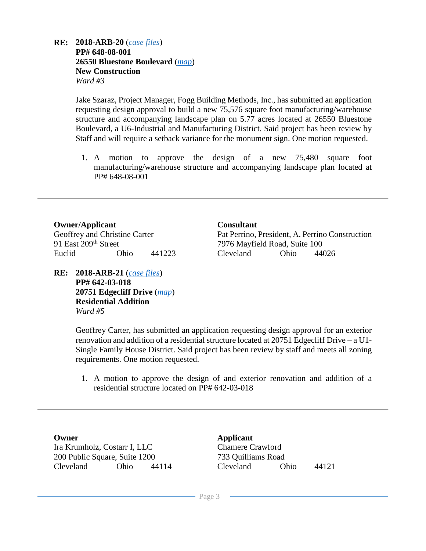#### **RE: 2018-ARB-20** (*[case files](http://www.cityofeuclid.com/uploads/ARB_Projects/Bluestone_IV/Bluestone_4.pdf)*) **PP# 648-08-001 26550 Bluestone Boulevard** (*[map](https://goo.gl/maps/WA23YXAB64A2)*) **New Construction** *Ward #3*

Jake Szaraz, Project Manager, Fogg Building Methods, Inc., has submitted an application requesting design approval to build a new 75,576 square foot manufacturing/warehouse structure and accompanying landscape plan on 5.77 acres located at 26550 Bluestone Boulevard, a U6-Industrial and Manufacturing District. Said project has been review by Staff and will require a setback variance for the monument sign. One motion requested.

1. A motion to approve the design of a new 75,480 square foot manufacturing/warehouse structure and accompanying landscape plan located at PP# 648-08-001

### **Owner/Applicant Consultant**

91 East 209th Street 7976 Mayfield Road, Suite 100

**RE: 2018-ARB-21** (*[case files](http://www.cityofeuclid.com/uploads/ARB_Projects/20751_Edgecliff/20751_Edgecliff.pdf)*) **PP# 642-03-018 20751 Edgecliff Drive** (*[map](https://goo.gl/maps/Et7KYF8KLy72)*) **Residential Addition** *Ward #5*

Geoffrey and Christine Carter Pat Perrino, President, A. Perrino Construction Euclid Ohio 441223 Cleveland Ohio 44026

Geoffrey Carter, has submitted an application requesting design approval for an exterior renovation and addition of a residential structure located at 20751 Edgecliff Drive – a U1- Single Family House District. Said project has been review by staff and meets all zoning requirements. One motion requested.

1. A motion to approve the design of and exterior renovation and addition of a residential structure located on PP# 642-03-018

Ira Krumholz, Costarr I, LLC Chamere Crawford 200 Public Square, Suite 1200 733 Quilliams Road Cleveland Ohio 44114 Cleveland Ohio 44121

**Owner Applicant**

- Page 3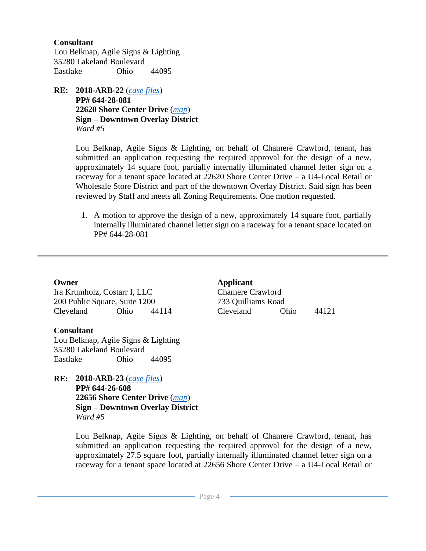#### **Consultant**

Lou Belknap, Agile Signs & Lighting 35280 Lakeland Boulevard Eastlake Ohio 44095

**RE: 2018-ARB-22** (*[case files](http://www.cityofeuclid.com/uploads/ARB_Projects/Mini_Miracles/Mini_Miracles.pdf)*) **PP# 644-28-081 22620 Shore Center Drive** (*[map](https://goo.gl/maps/6KKZwkeMWXU2)*) **Sign – Downtown Overlay District** *Ward #5*

> Lou Belknap, Agile Signs & Lighting, on behalf of Chamere Crawford, tenant, has submitted an application requesting the required approval for the design of a new, approximately 14 square foot, partially internally illuminated channel letter sign on a raceway for a tenant space located at 22620 Shore Center Drive – a U4-Local Retail or Wholesale Store District and part of the downtown Overlay District. Said sign has been reviewed by Staff and meets all Zoning Requirements. One motion requested.

1. A motion to approve the design of a new, approximately 14 square foot, partially internally illuminated channel letter sign on a raceway for a tenant space located on PP# 644-28-081

Ira Krumholz, Costarr I, LLC Chamere Crawford 200 Public Square, Suite 1200 733 Quilliams Road Cleveland Ohio 44114 Cleveland Ohio 44121

#### **Consultant**

Lou Belknap, Agile Signs & Lighting 35280 Lakeland Boulevard Eastlake Ohio 44095

**RE: 2018-ARB-23** (*[case files](http://www.cityofeuclid.com/uploads/ARB_Projects/Mini_Miracles/Mini_Miracles_II.pdf)*) **PP# 644-26-608 22656 Shore Center Drive** (*[map](https://goo.gl/maps/6KKZwkeMWXU2)*) **Sign – Downtown Overlay District** *Ward #5*

**Owner Applicant**

Lou Belknap, Agile Signs & Lighting, on behalf of Chamere Crawford, tenant, has submitted an application requesting the required approval for the design of a new, approximately 27.5 square foot, partially internally illuminated channel letter sign on a raceway for a tenant space located at 22656 Shore Center Drive – a U4-Local Retail or